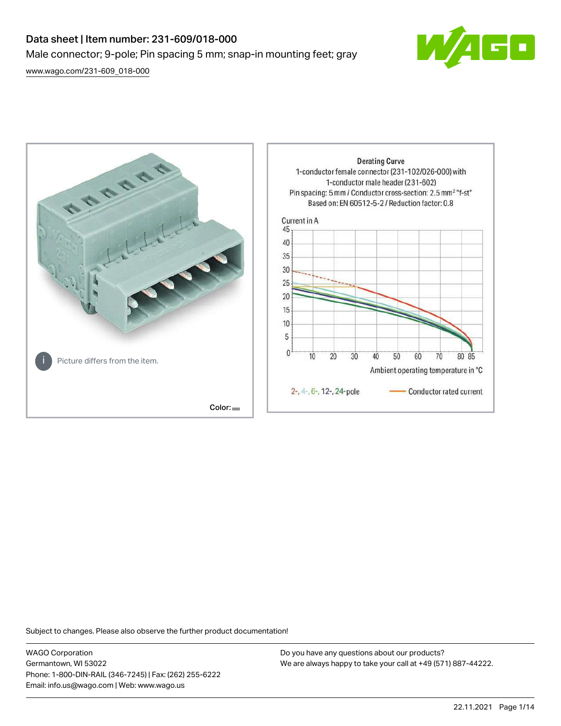# Data sheet | Item number: 231-609/018-000 Male connector; 9-pole; Pin spacing 5 mm; snap-in mounting feet; gray

[www.wago.com/231-609\\_018-000](http://www.wago.com/231-609_018-000)





Subject to changes. Please also observe the further product documentation!

WAGO Corporation Germantown, WI 53022 Phone: 1-800-DIN-RAIL (346-7245) | Fax: (262) 255-6222 Email: info.us@wago.com | Web: www.wago.us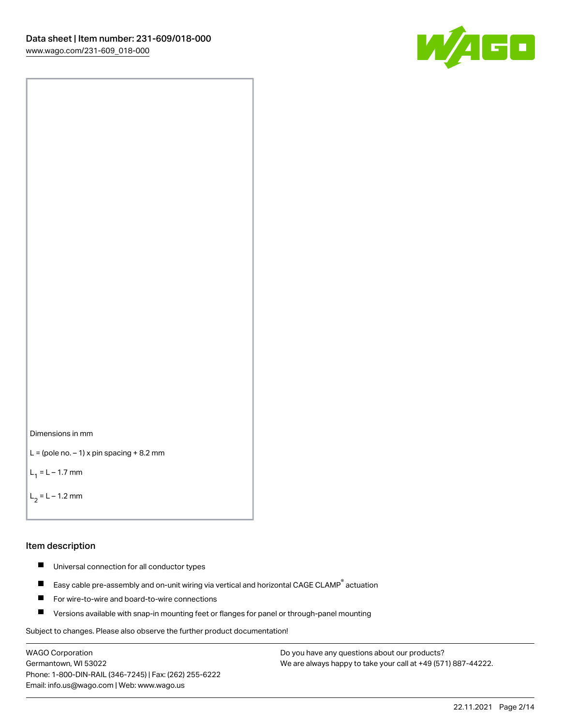



```
L = (pole no. -1) x pin spacing +8.2 mm
```
 $L_1 = L - 1.7$  mm

 $L_2 = L - 1.2$  mm

#### Item description

- $\blacksquare$ Universal connection for all conductor types
- Easy cable pre-assembly and on-unit wiring via vertical and horizontal CAGE CLAMP<sup>®</sup> actuation  $\blacksquare$
- $\blacksquare$ For wire-to-wire and board-to-wire connections
- $\blacksquare$ Versions available with snap-in mounting feet or flanges for panel or through-panel mounting

Subject to changes. Please also observe the further product documentation!

WAGO Corporation Germantown, WI 53022 Phone: 1-800-DIN-RAIL (346-7245) | Fax: (262) 255-6222 Email: info.us@wago.com | Web: www.wago.us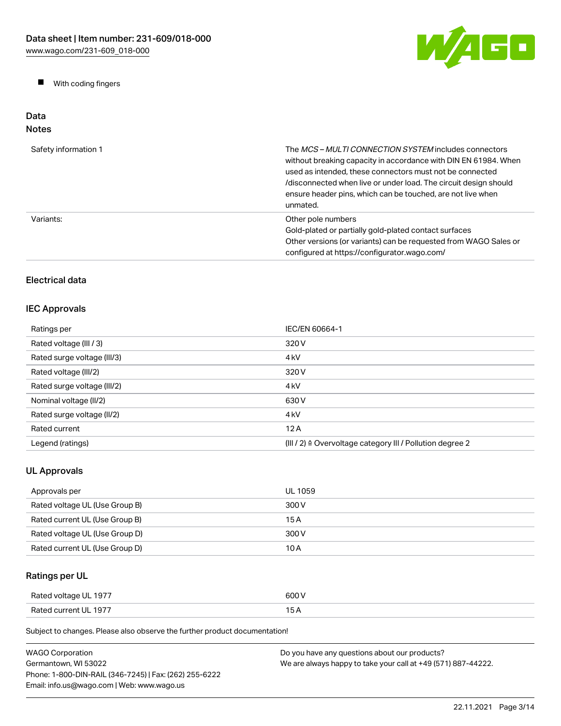W/AGO

 $\blacksquare$ With coding fingers

#### Data Notes

| Safety information 1 | The <i>MCS – MULTI CONNECTION SYSTEM</i> includes connectors<br>without breaking capacity in accordance with DIN EN 61984. When<br>used as intended, these connectors must not be connected<br>/disconnected when live or under load. The circuit design should<br>ensure header pins, which can be touched, are not live when<br>unmated. |
|----------------------|--------------------------------------------------------------------------------------------------------------------------------------------------------------------------------------------------------------------------------------------------------------------------------------------------------------------------------------------|
| Variants:            | Other pole numbers<br>Gold-plated or partially gold-plated contact surfaces<br>Other versions (or variants) can be requested from WAGO Sales or<br>configured at https://configurator.wago.com/                                                                                                                                            |

# Electrical data

# IEC Approvals

| Ratings per                 | IEC/EN 60664-1                                                       |
|-----------------------------|----------------------------------------------------------------------|
| Rated voltage (III / 3)     | 320 V                                                                |
| Rated surge voltage (III/3) | 4 <sub>k</sub> V                                                     |
| Rated voltage (III/2)       | 320 V                                                                |
| Rated surge voltage (III/2) | 4 <sub>k</sub> V                                                     |
| Nominal voltage (II/2)      | 630 V                                                                |
| Rated surge voltage (II/2)  | 4 <sub>k</sub> V                                                     |
| Rated current               | 12A                                                                  |
| Legend (ratings)            | (III / 2) $\triangleq$ Overvoltage category III / Pollution degree 2 |

# UL Approvals

| Approvals per                  | UL 1059 |
|--------------------------------|---------|
| Rated voltage UL (Use Group B) | 300 V   |
| Rated current UL (Use Group B) | 15 A    |
| Rated voltage UL (Use Group D) | 300 V   |
| Rated current UL (Use Group D) | 10 A    |

# Ratings per UL

| Rated voltage UL 1977 | 600 V |
|-----------------------|-------|
| Rated current UL 1977 | 15 A  |

| <b>WAGO Corporation</b>                                | Do you have any questions about our products?                 |
|--------------------------------------------------------|---------------------------------------------------------------|
| Germantown. WI 53022                                   | We are always happy to take your call at +49 (571) 887-44222. |
| Phone: 1-800-DIN-RAIL (346-7245)   Fax: (262) 255-6222 |                                                               |
| Email: info.us@wago.com   Web: www.wago.us             |                                                               |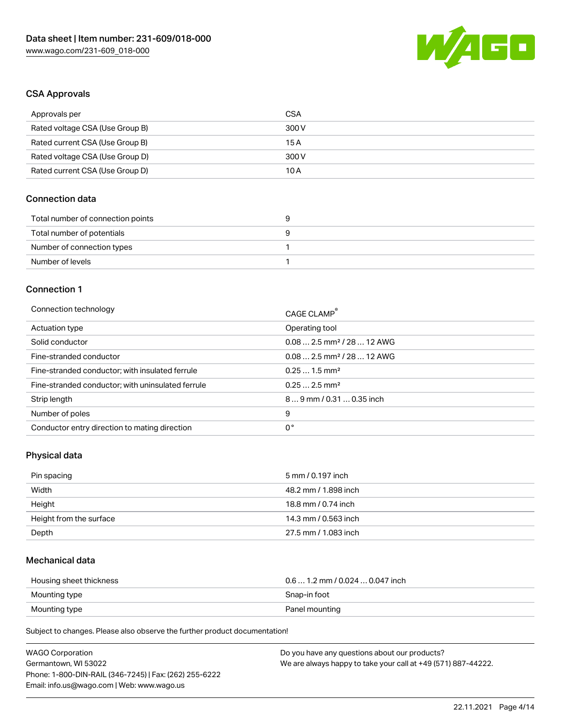

### CSA Approvals

| Approvals per                   | CSA   |
|---------------------------------|-------|
| Rated voltage CSA (Use Group B) | 300 V |
| Rated current CSA (Use Group B) | 15 A  |
| Rated voltage CSA (Use Group D) | 300 V |
| Rated current CSA (Use Group D) | 10 A  |

### Connection data

| Total number of connection points |  |
|-----------------------------------|--|
| Total number of potentials        |  |
| Number of connection types        |  |
| Number of levels                  |  |

#### Connection 1

| Connection technology                             | CAGE CLAMP <sup>®</sup>                |
|---------------------------------------------------|----------------------------------------|
| Actuation type                                    | Operating tool                         |
| Solid conductor                                   | $0.082.5$ mm <sup>2</sup> / 28  12 AWG |
| Fine-stranded conductor                           | $0.082.5$ mm <sup>2</sup> / 28  12 AWG |
| Fine-stranded conductor; with insulated ferrule   | $0.251.5$ mm <sup>2</sup>              |
| Fine-stranded conductor; with uninsulated ferrule | $0.252.5$ mm <sup>2</sup>              |
| Strip length                                      | 89 mm / 0.31  0.35 inch                |
| Number of poles                                   | 9                                      |
| Conductor entry direction to mating direction     | 0°                                     |

#### Physical data

| Pin spacing             | 5 mm / 0.197 inch    |
|-------------------------|----------------------|
| Width                   | 48.2 mm / 1.898 inch |
| Height                  | 18.8 mm / 0.74 inch  |
| Height from the surface | 14.3 mm / 0.563 inch |
| Depth                   | 27.5 mm / 1.083 inch |

### Mechanical data

| Housing sheet thickness | $0.61.2$ mm / 0.024  0.047 inch |
|-------------------------|---------------------------------|
| Mounting type           | Snap-in foot                    |
| Mounting type           | Panel mounting                  |

| <b>WAGO Corporation</b>                                | Do you have any questions about our products?                 |
|--------------------------------------------------------|---------------------------------------------------------------|
| Germantown, WI 53022                                   | We are always happy to take your call at +49 (571) 887-44222. |
| Phone: 1-800-DIN-RAIL (346-7245)   Fax: (262) 255-6222 |                                                               |
| Email: info.us@wago.com   Web: www.wago.us             |                                                               |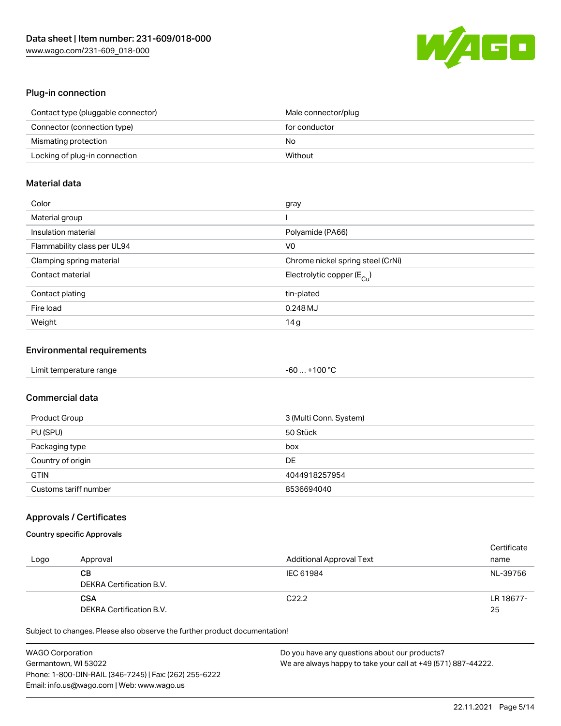

#### Plug-in connection

| Contact type (pluggable connector) | Male connector/plug |
|------------------------------------|---------------------|
| Connector (connection type)        | for conductor       |
| Mismating protection               | No                  |
| Locking of plug-in connection      | Without             |

### Material data

| Color                       | gray                                    |
|-----------------------------|-----------------------------------------|
| Material group              |                                         |
| Insulation material         | Polyamide (PA66)                        |
| Flammability class per UL94 | V0                                      |
| Clamping spring material    | Chrome nickel spring steel (CrNi)       |
| Contact material            | Electrolytic copper ( $E_{\text{Cu}}$ ) |
| Contact plating             | tin-plated                              |
| Fire load                   | 0.248 MJ                                |
| Weight                      | 14g                                     |

#### Environmental requirements

| Limit temperature range<br>the contract of the contract of the contract of the contract of the contract of the contract of the contract of | $-60+100 °C$ |  |
|--------------------------------------------------------------------------------------------------------------------------------------------|--------------|--|
|--------------------------------------------------------------------------------------------------------------------------------------------|--------------|--|

# Commercial data

| Product Group         | 3 (Multi Conn. System) |
|-----------------------|------------------------|
| PU (SPU)              | 50 Stück               |
| Packaging type        | box                    |
| Country of origin     | DE                     |
| <b>GTIN</b>           | 4044918257954          |
| Customs tariff number | 8536694040             |

#### Approvals / Certificates

### Country specific Approvals

| Logo | Approval                               | <b>Additional Approval Text</b> | Certificate<br>name |
|------|----------------------------------------|---------------------------------|---------------------|
|      | CВ<br>DEKRA Certification B.V.         | IEC 61984                       | NL-39756            |
|      | <b>CSA</b><br>DEKRA Certification B.V. | C <sub>22.2</sub>               | LR 18677-<br>25     |

| <b>WAGO Corporation</b>                                | Do you have any questions about our products?                 |
|--------------------------------------------------------|---------------------------------------------------------------|
| Germantown, WI 53022                                   | We are always happy to take your call at +49 (571) 887-44222. |
| Phone: 1-800-DIN-RAIL (346-7245)   Fax: (262) 255-6222 |                                                               |
| Email: info.us@wago.com   Web: www.wago.us             |                                                               |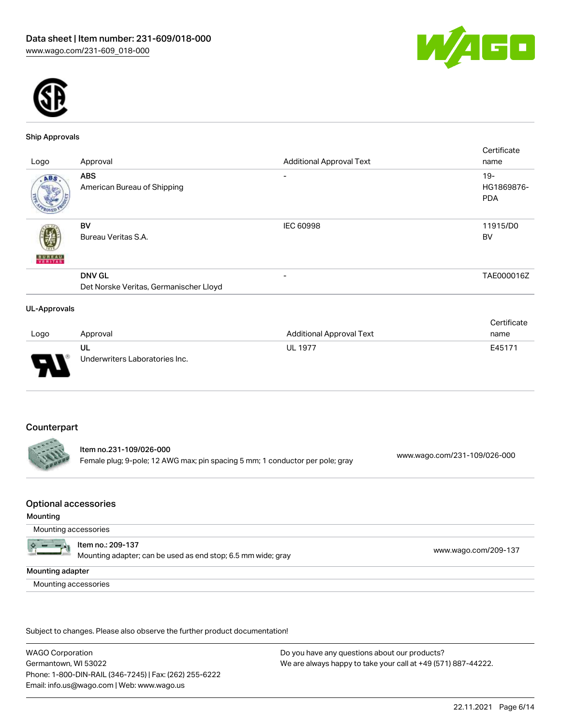



#### Ship Approvals

|                     |                                        |                                 | Certificate |
|---------------------|----------------------------------------|---------------------------------|-------------|
| Logo                | Approval                               | <b>Additional Approval Text</b> | name        |
| ABS.                | <b>ABS</b>                             | $\overline{\phantom{0}}$        | $19 -$      |
|                     | American Bureau of Shipping            |                                 | HG1869876-  |
|                     |                                        |                                 | <b>PDA</b>  |
|                     |                                        |                                 |             |
|                     | BV                                     | <b>IEC 60998</b>                | 11915/D0    |
|                     | Bureau Veritas S.A.                    |                                 | BV          |
|                     |                                        |                                 |             |
| <b>BUREAU</b>       |                                        |                                 |             |
|                     | <b>DNV GL</b>                          | $\overline{\phantom{0}}$        | TAE000016Z  |
|                     | Det Norske Veritas, Germanischer Lloyd |                                 |             |
|                     |                                        |                                 |             |
| <b>UL-Approvals</b> |                                        |                                 |             |

#### Logo Approval Additional Approval Text **Certificate** name UL Underwriters Laboratories Inc. UL 1977 **E45171**

# **Counterpart**

Item no.231-109/026-000 Female plug; 9-pole; 12 AWG max; pin spacing 5 mm; 1 conductor per pole; gray [www.wago.com/231-109/026-000](https://www.wago.com/231-109/026-000)

#### Optional accessories

#### Mounting

Mounting accessories

| Item no.: 209-137                                            |
|--------------------------------------------------------------|
| Mounting adapter; can be used as end stop; 6.5 mm wide; gray |

mounting adapter; can be used as end stop; 6.5 mm [www.wago.com/209-137](http://www.wago.com/209-137) mm with  $\frac{1}{2}$  www.wago.com/209-137

Mounting adapter

Mounting accessories

Subject to changes. Please also observe the further product documentation!

WAGO Corporation Germantown, WI 53022 Phone: 1-800-DIN-RAIL (346-7245) | Fax: (262) 255-6222 Email: info.us@wago.com | Web: www.wago.us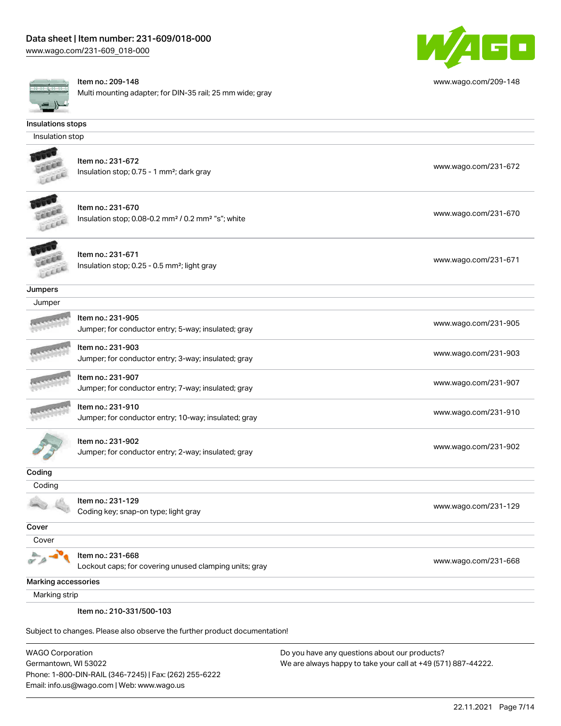[www.wago.com/231-609\\_018-000](http://www.wago.com/231-609_018-000)



Item no.: 209-148

Multi mounting adapter; for DIN-35 rail; 25 mm wide; gray



[www.wago.com/209-148](http://www.wago.com/209-148)

# Insulation stop

**CERAM** LEEEE

Insulations stops

Item no.: 231-672 Insulation stop; 0.75 - 1 mm<sup>2</sup>; dark gray [www.wago.com/231-672](http://www.wago.com/231-672) www.wago.com/231-672



Item no.: 231-670 Insulation stop; 0.08-0.2 mm<sup>2</sup> / 0.2 mm<sup>2</sup> "s"; white [www.wago.com/231-670](http://www.wago.com/231-670) www.wago.com/231-670



Item no.: 231-671 Insulation stop; 0.25 - 0.5 mm²; light gray [www.wago.com/231-671](http://www.wago.com/231-671) www.wago.com/231-671

Jumpers Jumper

| <b>UUILINGI</b>     |                                                                           |                      |
|---------------------|---------------------------------------------------------------------------|----------------------|
| <b>SERVICES</b>     | Item no.: 231-905<br>Jumper; for conductor entry; 5-way; insulated; gray  | www.wago.com/231-905 |
| <b>ANTICOLOGICA</b> | Item no.: 231-903<br>Jumper; for conductor entry; 3-way; insulated; gray  | www.wago.com/231-903 |
| <b>ANTICKETTER</b>  | Item no.: 231-907<br>Jumper; for conductor entry; 7-way; insulated; gray  | www.wago.com/231-907 |
|                     | Item no.: 231-910<br>Jumper; for conductor entry; 10-way; insulated; gray | www.wago.com/231-910 |

Item no.: 231-902 Jumper; for conductor entry; 2-way; insulated; gray [www.wago.com/231-902](http://www.wago.com/231-902)

| vuung  |                                      |                      |
|--------|--------------------------------------|----------------------|
| Coding |                                      |                      |
|        | Item no.: 231-129                    |                      |
|        | Coding key; snap-on type; light gray | www.wago.com/231-129 |
| Cover  |                                      |                      |

**Cover** 

Coding

巫

Item no.: 231-668

Lockout caps; for covering unused clamping units; gray [www.wago.com/231-668](http://www.wago.com/231-668)

Marking accessories

Marking strip

Item no.: 210-331/500-103

Subject to changes. Please also observe the further product documentation!

WAGO Corporation Germantown, WI 53022 Phone: 1-800-DIN-RAIL (346-7245) | Fax: (262) 255-6222 Email: info.us@wago.com | Web: www.wago.us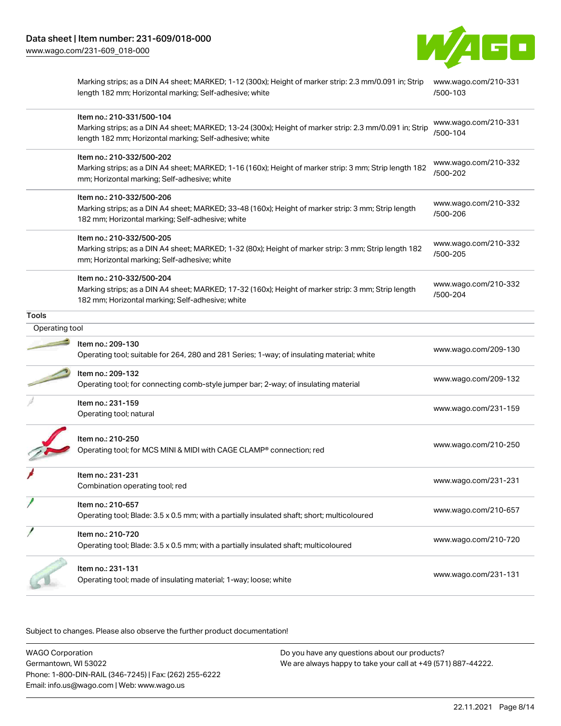

|                | Marking strips; as a DIN A4 sheet; MARKED; 1-12 (300x); Height of marker strip: 2.3 mm/0.091 in; Strip<br>length 182 mm; Horizontal marking; Self-adhesive; white                               | www.wago.com/210-331<br>/500-103 |
|----------------|-------------------------------------------------------------------------------------------------------------------------------------------------------------------------------------------------|----------------------------------|
|                | Item no.: 210-331/500-104<br>Marking strips; as a DIN A4 sheet; MARKED; 13-24 (300x); Height of marker strip: 2.3 mm/0.091 in; Strip<br>length 182 mm; Horizontal marking; Self-adhesive; white | www.wago.com/210-331<br>/500-104 |
|                | Item no.: 210-332/500-202<br>Marking strips; as a DIN A4 sheet; MARKED; 1-16 (160x); Height of marker strip: 3 mm; Strip length 182<br>mm; Horizontal marking; Self-adhesive; white             | www.wago.com/210-332<br>/500-202 |
|                | Item no.: 210-332/500-206<br>Marking strips; as a DIN A4 sheet; MARKED; 33-48 (160x); Height of marker strip: 3 mm; Strip length<br>182 mm; Horizontal marking; Self-adhesive; white            | www.wago.com/210-332<br>/500-206 |
|                | Item no.: 210-332/500-205<br>Marking strips; as a DIN A4 sheet; MARKED; 1-32 (80x); Height of marker strip: 3 mm; Strip length 182<br>mm; Horizontal marking; Self-adhesive; white              | www.wago.com/210-332<br>/500-205 |
|                | ltem no.: 210-332/500-204<br>Marking strips; as a DIN A4 sheet; MARKED; 17-32 (160x); Height of marker strip: 3 mm; Strip length<br>182 mm; Horizontal marking; Self-adhesive; white            | www.wago.com/210-332<br>/500-204 |
| Tools          |                                                                                                                                                                                                 |                                  |
| Operating tool |                                                                                                                                                                                                 |                                  |
|                | Item no.: 209-130<br>Operating tool; suitable for 264, 280 and 281 Series; 1-way; of insulating material; white                                                                                 | www.wago.com/209-130             |
|                | Item no.: 209-132<br>Operating tool; for connecting comb-style jumper bar; 2-way; of insulating material                                                                                        | www.wago.com/209-132             |
|                | Item no.: 231-159<br>Operating tool; natural                                                                                                                                                    | www.wago.com/231-159             |
|                | Item no.: 210-250<br>Operating tool; for MCS MINI & MIDI with CAGE CLAMP® connection; red                                                                                                       | www.wago.com/210-250             |
|                | Item no.: 231-231<br>Combination operating tool; red                                                                                                                                            | www.wago.com/231-231             |
|                | ltem no.: 210-657<br>Operating tool; Blade: 3.5 x 0.5 mm; with a partially insulated shaft; short; multicoloured                                                                                | www.wago.com/210-657             |
|                | ltem no.: 210-720<br>Operating tool; Blade: 3.5 x 0.5 mm; with a partially insulated shaft; multicoloured                                                                                       | www.wago.com/210-720             |
|                | Item no.: 231-131<br>Operating tool; made of insulating material; 1-way; loose; white                                                                                                           | www.wago.com/231-131             |

| <b>WAGO Corporation</b>                                | Do you have any questions about our products?                 |
|--------------------------------------------------------|---------------------------------------------------------------|
| Germantown, WI 53022                                   | We are always happy to take your call at +49 (571) 887-44222. |
| Phone: 1-800-DIN-RAIL (346-7245)   Fax: (262) 255-6222 |                                                               |
| Email: info.us@wago.com   Web: www.wago.us             |                                                               |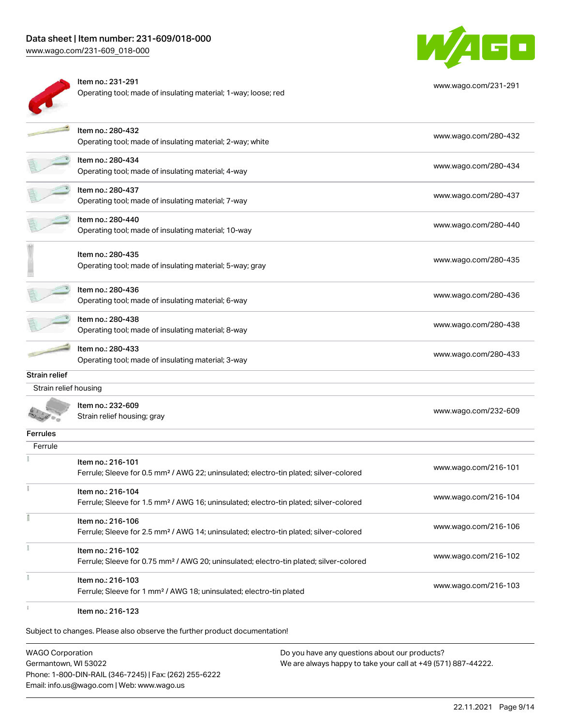# Data sheet | Item number: 231-609/018-000

[www.wago.com/231-609\\_018-000](http://www.wago.com/231-609_018-000)



| ltem no.: 231-291                                              |
|----------------------------------------------------------------|
| Operating tool; made of insulating material; 1-way; loose; red |



[www.wago.com/231-291](http://www.wago.com/231-291)

|                       | Item no.: 280-432<br>Operating tool; made of insulating material; 2-way; white                                          | www.wago.com/280-432 |
|-----------------------|-------------------------------------------------------------------------------------------------------------------------|----------------------|
|                       | Item no.: 280-434<br>Operating tool; made of insulating material; 4-way                                                 | www.wago.com/280-434 |
|                       | Item no.: 280-437<br>Operating tool; made of insulating material; 7-way                                                 | www.wago.com/280-437 |
|                       | Item no.: 280-440<br>Operating tool; made of insulating material; 10-way                                                | www.wago.com/280-440 |
|                       | Item no.: 280-435<br>Operating tool; made of insulating material; 5-way; gray                                           | www.wago.com/280-435 |
|                       | ltem no.: 280-436<br>Operating tool; made of insulating material; 6-way                                                 | www.wago.com/280-436 |
|                       | Item no.: 280-438<br>Operating tool; made of insulating material; 8-way                                                 | www.wago.com/280-438 |
|                       | Item no.: 280-433<br>Operating tool; made of insulating material; 3-way                                                 | www.wago.com/280-433 |
| Strain relief         |                                                                                                                         |                      |
| Strain relief housing |                                                                                                                         |                      |
|                       | Item no.: 232-609<br>Strain relief housing; gray                                                                        | www.wago.com/232-609 |
| Ferrules              |                                                                                                                         |                      |
| Ferrule               |                                                                                                                         |                      |
|                       | Item no.: 216-101<br>Ferrule; Sleeve for 0.5 mm <sup>2</sup> / AWG 22; uninsulated; electro-tin plated; silver-colored  | www.wago.com/216-101 |
|                       | Item no.: 216-104<br>Ferrule; Sleeve for 1.5 mm <sup>2</sup> / AWG 16; uninsulated; electro-tin plated; silver-colored  | www.wago.com/216-104 |
|                       | Item no.: 216-106<br>Ferrule; Sleeve for 2.5 mm <sup>2</sup> / AWG 14; uninsulated; electro-tin plated; silver-colored  | www.wago.com/216-106 |
|                       | Item no.: 216-102<br>Ferrule; Sleeve for 0.75 mm <sup>2</sup> / AWG 20; uninsulated; electro-tin plated; silver-colored | www.wago.com/216-102 |
|                       | Item no.: 216-103<br>Ferrule; Sleeve for 1 mm <sup>2</sup> / AWG 18; uninsulated; electro-tin plated                    | www.wago.com/216-103 |
|                       | Item no.: 216-123                                                                                                       |                      |

Subject to changes. Please also observe the further product documentation!

WAGO Corporation Germantown, WI 53022 Phone: 1-800-DIN-RAIL (346-7245) | Fax: (262) 255-6222 Email: info.us@wago.com | Web: www.wago.us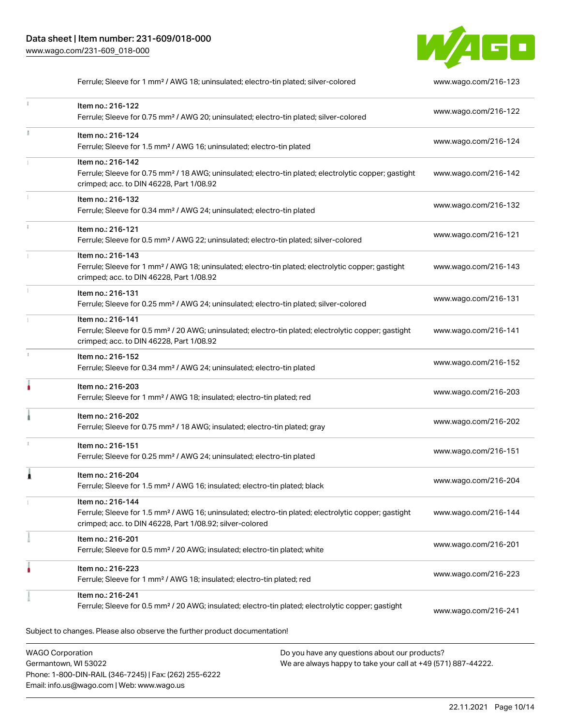$\mathbf i$ 



.<br>Subject to changes. Please also observe the further product documentation! Ferrule; Sleeve for 1 mm² / AWG 18; uninsulated; electro-tin plated; silver-colored [www.wago.com/216-123](http://www.wago.com/216-123) Item no.: 216-122 Ferrule; Sleeve for 0.75 mm² / AWG 20; uninsulated; electro-tin plated; silver-colored [www.wago.com/216-122](http://www.wago.com/216-122) Item no.: 216-124 Ferrule; Sleeve for 1.5 mm<sup>2</sup> / AWG 16; uninsulated; electro-tin plated [www.wago.com/216-124](http://www.wago.com/216-124) Item no.: 216-142 Ferrule; Sleeve for 0.75 mm<sup>2</sup> / 18 AWG; uninsulated; electro-tin plated; electrolytic copper; gastight crimped; acc. to DIN 46228, Part 1/08.92 [www.wago.com/216-142](http://www.wago.com/216-142) Item no.: 216-132 Ferrule; Sleeve for 0.34 mm² / AWG 24; uninsulated; electro-tin plated [www.wago.com/216-132](http://www.wago.com/216-132) Item no.: 216-121 Ferrule; Sleeve for 0.5 mm² / AWG 22; uninsulated; electro-tin plated; silver-colored [www.wago.com/216-121](http://www.wago.com/216-121) Item no.: 216-143 Ferrule; Sleeve for 1 mm² / AWG 18; uninsulated; electro-tin plated; electrolytic copper; gastight crimped; acc. to DIN 46228, Part 1/08.92 [www.wago.com/216-143](http://www.wago.com/216-143) Item no.: 216-131 Ferrule; Sleeve for 0.25 mm² / AWG 24; uninsulated; electro-tin plated; silver-colored [www.wago.com/216-131](http://www.wago.com/216-131) Item no.: 216-141 Ferrule; Sleeve for 0.5 mm² / 20 AWG; uninsulated; electro-tin plated; electrolytic copper; gastight crimped; acc. to DIN 46228, Part 1/08.92 [www.wago.com/216-141](http://www.wago.com/216-141) Item no.: 216-152 Ferrule; Sleeve for 0.34 mm² / AWG 24; uninsulated; electro-tin plated [www.wago.com/216-152](http://www.wago.com/216-152) Item no.: 216-203 Ferrule; Sleeve for 1 mm² / AWG 18; insulated; electro-tin plated; red [www.wago.com/216-203](http://www.wago.com/216-203) Item no.: 216-202 Ferrule; Sleeve for 0.75 mm² / 18 AWG; insulated; electro-tin plated; gray [www.wago.com/216-202](http://www.wago.com/216-202) Item no.: 216-151 Ferrule; Sleeve for 0.25 mm² / AWG 24; uninsulated; electro-tin plated [www.wago.com/216-151](http://www.wago.com/216-151) Item no.: 216-204 Ferrule; Sleeve for 1.5 mm² / AWG 16; insulated; electro-tin plated; black [www.wago.com/216-204](http://www.wago.com/216-204) Item no.: 216-144 Ferrule; Sleeve for 1.5 mm² / AWG 16; uninsulated; electro-tin plated; electrolytic copper; gastight crimped; acc. to DIN 46228, Part 1/08.92; silver-colored [www.wago.com/216-144](http://www.wago.com/216-144) Item no.: 216-201 Ferrule; Sleeve for 0.5 mm² / 20 AWG; insulated; electro-tin plated; white [www.wago.com/216-201](http://www.wago.com/216-201) Item no.: 216-223 Ferrule; Sleeve for 1 mm² / AWG 18; insulated; electro-tin plated; red [www.wago.com/216-223](http://www.wago.com/216-223) Item no.: 216-241 Ferrule; Sleeve for 0.5 mm² / 20 AWG; insulated; electro-tin plated; electrolytic copper; gastight [www.wago.com/216-241](http://www.wago.com/216-241)

WAGO Corporation Germantown, WI 53022 Phone: 1-800-DIN-RAIL (346-7245) | Fax: (262) 255-6222 Email: info.us@wago.com | Web: www.wago.us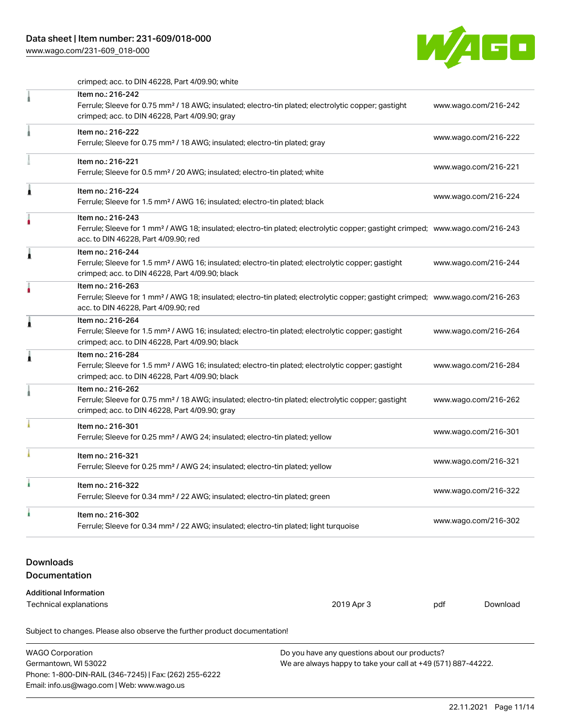## Data sheet | Item number: 231-609/018-000

[www.wago.com/231-609\\_018-000](http://www.wago.com/231-609_018-000)



crimped; acc. to DIN 46228, Part 4/09.90; white

|                                                                              | Item no.: 216-242<br>Ferrule; Sleeve for 0.75 mm <sup>2</sup> / 18 AWG; insulated; electro-tin plated; electrolytic copper; gastight<br>crimped; acc. to DIN 46228, Part 4/09.90; gray                  |     | www.wago.com/216-242 |                      |  |
|------------------------------------------------------------------------------|---------------------------------------------------------------------------------------------------------------------------------------------------------------------------------------------------------|-----|----------------------|----------------------|--|
|                                                                              | Item no.: 216-222<br>Ferrule; Sleeve for 0.75 mm <sup>2</sup> / 18 AWG; insulated; electro-tin plated; gray                                                                                             |     | www.wago.com/216-222 |                      |  |
|                                                                              | Item no.: 216-221<br>Ferrule; Sleeve for 0.5 mm <sup>2</sup> / 20 AWG; insulated; electro-tin plated; white                                                                                             |     | www.wago.com/216-221 |                      |  |
| Â                                                                            | Item no.: 216-224<br>Ferrule; Sleeve for 1.5 mm <sup>2</sup> / AWG 16; insulated; electro-tin plated; black                                                                                             |     | www.wago.com/216-224 |                      |  |
|                                                                              | Item no.: 216-243<br>Ferrule; Sleeve for 1 mm <sup>2</sup> / AWG 18; insulated; electro-tin plated; electrolytic copper; gastight crimped; www.wago.com/216-243<br>acc. to DIN 46228, Part 4/09.90; red |     |                      |                      |  |
| Â                                                                            | Item no.: 216-244<br>Ferrule; Sleeve for 1.5 mm <sup>2</sup> / AWG 16; insulated; electro-tin plated; electrolytic copper; gastight<br>crimped; acc. to DIN 46228, Part 4/09.90; black                  |     | www.wago.com/216-244 |                      |  |
|                                                                              | Item no.: 216-263<br>Ferrule; Sleeve for 1 mm <sup>2</sup> / AWG 18; insulated; electro-tin plated; electrolytic copper; gastight crimped; www.wago.com/216-263<br>acc. to DIN 46228, Part 4/09.90; red |     |                      |                      |  |
| ۸                                                                            | Item no.: 216-264<br>Ferrule; Sleeve for 1.5 mm <sup>2</sup> / AWG 16; insulated; electro-tin plated; electrolytic copper; gastight<br>crimped; acc. to DIN 46228, Part 4/09.90; black                  |     | www.wago.com/216-264 |                      |  |
| ı                                                                            | Item no.: 216-284<br>Ferrule; Sleeve for 1.5 mm <sup>2</sup> / AWG 16; insulated; electro-tin plated; electrolytic copper; gastight<br>crimped; acc. to DIN 46228, Part 4/09.90; black                  |     | www.wago.com/216-284 |                      |  |
|                                                                              | Item no.: 216-262<br>Ferrule; Sleeve for 0.75 mm <sup>2</sup> / 18 AWG; insulated; electro-tin plated; electrolytic copper; gastight<br>crimped; acc. to DIN 46228, Part 4/09.90; gray                  |     | www.wago.com/216-262 |                      |  |
|                                                                              | Item no.: 216-301<br>Ferrule; Sleeve for 0.25 mm <sup>2</sup> / AWG 24; insulated; electro-tin plated; yellow                                                                                           |     |                      | www.wago.com/216-301 |  |
|                                                                              | Item no.: 216-321<br>Ferrule; Sleeve for 0.25 mm <sup>2</sup> / AWG 24; insulated; electro-tin plated; yellow                                                                                           |     | www.wago.com/216-321 |                      |  |
| à                                                                            | Item no.: 216-322<br>Ferrule; Sleeve for 0.34 mm <sup>2</sup> / 22 AWG; insulated; electro-tin plated; green                                                                                            |     | www.wago.com/216-322 |                      |  |
| ì                                                                            | Item no.: 216-302<br>Ferrule; Sleeve for 0.34 mm <sup>2</sup> / 22 AWG; insulated; electro-tin plated; light turquoise                                                                                  |     | www.wago.com/216-302 |                      |  |
| <b>Downloads</b><br>Documentation                                            |                                                                                                                                                                                                         |     |                      |                      |  |
| <b>Additional Information</b><br><b>Technical explanations</b><br>2019 Apr 3 |                                                                                                                                                                                                         | pdf | Download             |                      |  |
|                                                                              | Subject to changes. Please also observe the further product documentation!                                                                                                                              |     |                      |                      |  |

WAGO Corporation Germantown, WI 53022 Phone: 1-800-DIN-RAIL (346-7245) | Fax: (262) 255-6222 Email: info.us@wago.com | Web: www.wago.us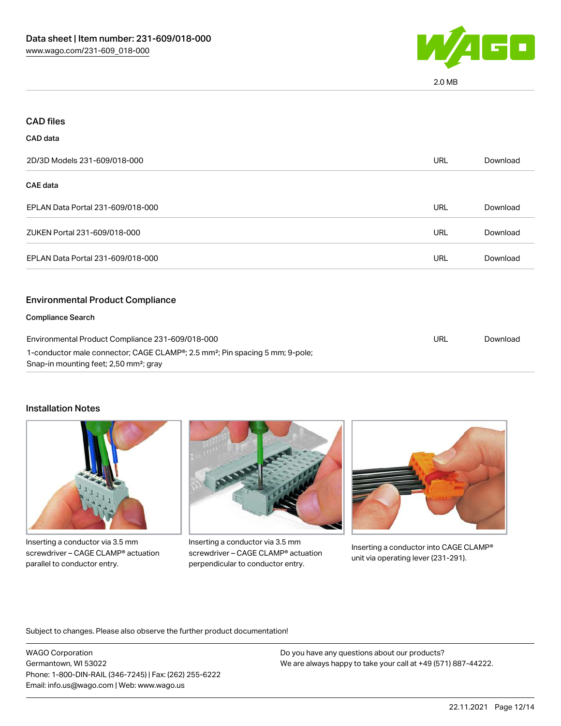

2.0 MB

| <b>CAD files</b>                                                                                                                               |            |          |
|------------------------------------------------------------------------------------------------------------------------------------------------|------------|----------|
| CAD data                                                                                                                                       |            |          |
| 2D/3D Models 231-609/018-000                                                                                                                   | URL        | Download |
| CAE data                                                                                                                                       |            |          |
| EPLAN Data Portal 231-609/018-000                                                                                                              | <b>URL</b> | Download |
| ZUKEN Portal 231-609/018-000                                                                                                                   | <b>URL</b> | Download |
| EPLAN Data Portal 231-609/018-000                                                                                                              | <b>URL</b> | Download |
| <b>Environmental Product Compliance</b>                                                                                                        |            |          |
| <b>Compliance Search</b>                                                                                                                       |            |          |
| Environmental Product Compliance 231-609/018-000                                                                                               |            | Download |
| 1-conductor male connector; CAGE CLAMP®; 2.5 mm <sup>2</sup> ; Pin spacing 5 mm; 9-pole;<br>Snap-in mounting feet; 2,50 mm <sup>2</sup> ; gray |            |          |

#### Installation Notes



Inserting a conductor via 3.5 mm screwdriver – CAGE CLAMP® actuation parallel to conductor entry.



Inserting a conductor via 3.5 mm screwdriver – CAGE CLAMP® actuation perpendicular to conductor entry.



Inserting a conductor into CAGE CLAMP® unit via operating lever (231-291).

Subject to changes. Please also observe the further product documentation!

WAGO Corporation Germantown, WI 53022 Phone: 1-800-DIN-RAIL (346-7245) | Fax: (262) 255-6222 Email: info.us@wago.com | Web: www.wago.us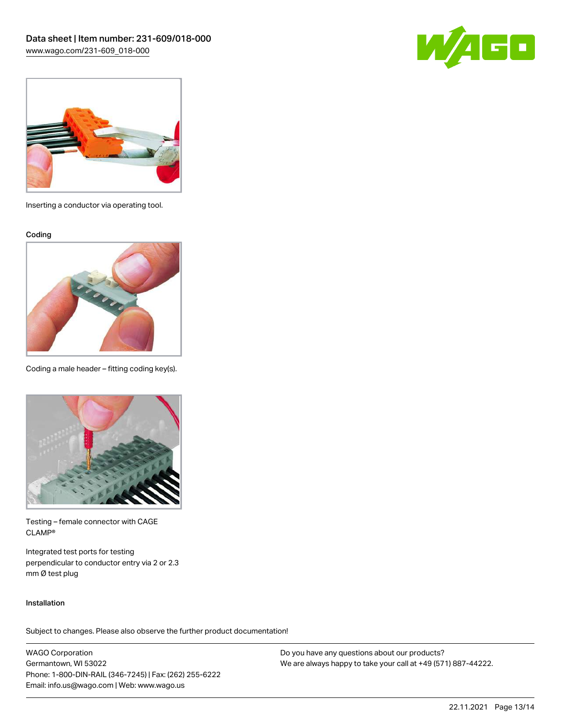



Inserting a conductor via operating tool.

Coding



Coding a male header – fitting coding key(s).



Testing – female connector with CAGE CLAMP®

Integrated test ports for testing perpendicular to conductor entry via 2 or 2.3 mm Ø test plug

#### Installation

Subject to changes. Please also observe the further product documentation!

WAGO Corporation Germantown, WI 53022 Phone: 1-800-DIN-RAIL (346-7245) | Fax: (262) 255-6222 Email: info.us@wago.com | Web: www.wago.us